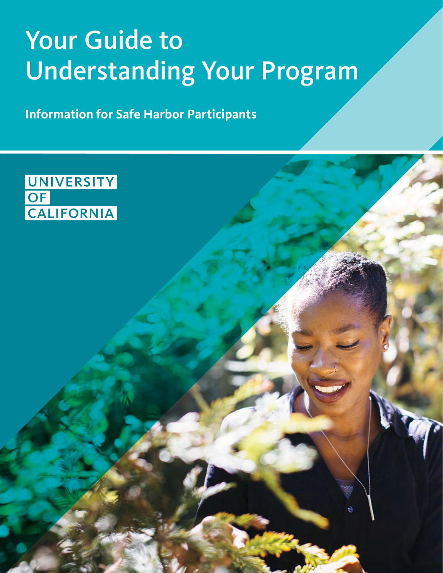# Your Guide to Understanding Your Program

**Information for Safe Harbor Participants**

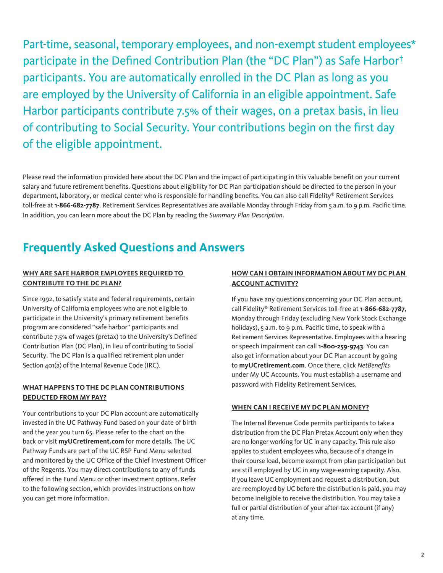Part-time, seasonal, temporary employees, and non-exempt student employees\* participate in the Defined Contribution Plan (the "DC Plan") as Safe Harbor† participants. You are automatically enrolled in the DC Plan as long as you are employed by the University of California in an eligible appointment. Safe Harbor participants contribute 7.5% of their wages, on a pretax basis, in lieu of contributing to Social Security. Your contributions begin on the first day of the eligible appointment.

Please read the information provided here about the DC Plan and the impact of participating in this valuable benefit on your current salary and future retirement benefits. Questions about eligibility for DC Plan participation should be directed to the person in your department, laboratory, or medical center who is responsible for handling benefits. You can also call Fidelity® Retirement Services toll-free at **1-866-682-7787**. Retirement Services Representatives are available Monday through Friday from 5 a.m. to 9 p.m. Pacific time. In addition, you can learn more about the DC Plan by reading the *[Summary Plan Description](https://ucnet.universityofcalifornia.edu/forms/pdf/defined-contribution-plan-summary-description.pdf)*.

# **Frequently Asked Questions and Answers**

# **WHY ARE SAFE HARBOR EMPLOYEES REQUIRED TO CONTRIBUTE TO THE DC PLAN?**

Since 1992, to satisfy state and federal requirements, certain University of California employees who are not eligible to participate in the University's primary retirement benefits program are considered "safe harbor" participants and contribute 7.5% of wages (pretax) to the University's Defined Contribution Plan (DC Plan), in lieu of contributing to Social Security. The DC Plan is a qualified retirement plan under Section 401(a) of the Internal Revenue Code (IRC).

#### **WHAT HAPPENS TO THE DC PLAN CONTRIBUTIONS DEDUCTED FROM MY PAY?**

Your contributions to your DC Plan account are automatically invested in the UC Pathway Fund based on your date of birth and the year you turn 65. Please refer to the chart on the back or visit **[myUCretirement.com](http://myUCretirement.com)** for more details. The UC Pathway Funds are part of the UC RSP Fund Menu selected and monitored by the UC Office of the Chief Investment Officer of the Regents. You may direct contributions to any of funds offered in the Fund Menu or other investment options. Refer to the following section, which provides instructions on how you can get more information.

## **HOW CAN I OBTAIN INFORMATION ABOUT MY DC PLAN ACCOUNT ACTIVITY?**

If you have any questions concerning your DC Plan account, call Fidelity® Retirement Services toll-free at **1-866-682-7787**, Monday through Friday (excluding New York Stock Exchange holidays), 5 a.m. to 9 p.m. Pacific time, to speak with a Retirement Services Representative. Employees with a hearing or speech impairment can call **1-800-259-9743**. You can also get information about your DC Plan account by going to **[myUCretirement.com](http://www.myUCretirement.com)**. Once there, click *NetBenefits* under My UC Accounts. You must establish a username and password with Fidelity Retirement Services.

#### **WHEN CAN I RECEIVE MY DC PLAN MONEY?**

The Internal Revenue Code permits participants to take a distribution from the DC Plan Pretax Account only when they are no longer working for UC in any capacity. This rule also applies to student employees who, because of a change in their course load, become exempt from plan participation but are still employed by UC in any wage-earning capacity. Also, if you leave UC employment and request a distribution, but are reemployed by UC before the distribution is paid, you may become ineligible to receive the distribution. You may take a full or partial distribution of your after-tax account (if any) at any time.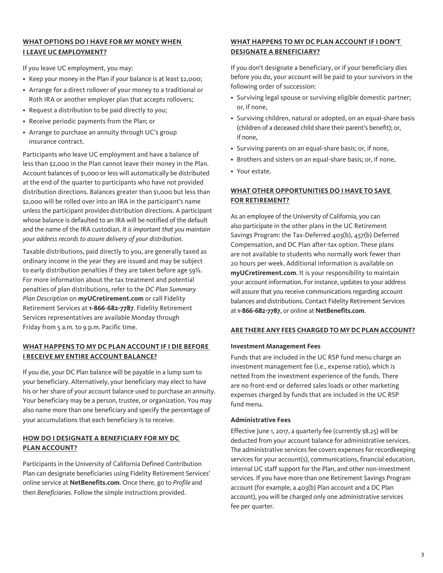#### **WHAT OPTIONS DO I HAVE FOR MY MONEY WHEN I LEAVE UC EMPLOYMENT?**

If you leave UC employment, you may:

- Keep your money in the Plan if your balance is at least \$2,000;
- Arrange for a direct rollover of your money to a traditional or Roth IRA or another employer plan that accepts rollovers;
- Request a distribution to be paid directly to you;
- Receive periodic payments from the Plan; or
- Arrange to purchase an annuity through UC's group insurance contract.

Participants who leave UC employment and have a balance of less than \$2,000 in the Plan cannot leave their money in the Plan. Account balances of \$1,000 or less will automatically be distributed at the end of the quarter to participants who have not provided distribution directions. Balances greater than \$1,000 but less than \$2,000 will be rolled over into an IRA in the participant's name unless the participant provides distribution directions. A participant whose balance is defaulted to an IRA will be notified of the default and the name of the IRA custodian. *It is important that you maintain your address records to assure delivery of your distribution.*

Taxable distributions, paid directly to you, are generally taxed as ordinary income in the year they are issued and may be subject to early distribution penalties if they are taken before age 59½. For more information about the tax treatment and potential penalties of plan distributions, refer to the *DC Plan Summary Plan Description* on **[myUCretirement.com](http://myUCretirement.com)** or call Fidelity Retirement Services at **1-866-682-7787**. Fidelity Retirement Services representatives are available Monday through Friday from 5 a.m. to 9 p.m. Pacific time.

## **WHAT HAPPENS TO MY DC PLAN ACCOUNT IF I DIE BEFORE I RECEIVE MY ENTIRE ACCOUNT BALANCE?**

If you die, your DC Plan balance will be payable in a lump sum to your beneficiary. Alternatively, your beneficiary may elect to have his or her share of your account balance used to purchase an annuity. Your beneficiary may be a person, trustee, or organization. You may also name more than one beneficiary and specify the percentage of your accumulations that each beneficiary is to receive.

### **HOW DO I DESIGNATE A BENEFICIARY FOR MY DC PLAN ACCOUNT?**

Participants in the University of California Defined Contribution Plan can designate beneficiaries using Fidelity Retirement Services' online service at **[NetBenefits.com](http://NetBenefits.com)**. Once there, go to *Profile* and then *Beneficiaries*. Follow the simple instructions provided.

# **WHAT HAPPENS TO MY DC PLAN ACCOUNT IF I DON'T DESIGNATE A BENEFICIARY?**

If you don't designate a beneficiary, or if your beneficiary dies before you do, your account will be paid to your survivors in the following order of succession:

- Surviving legal spouse or surviving eligible domestic partner; or, if none,
- Surviving children, natural or adopted, on an equal-share basis (children of a deceased child share their parent's benefit); or, if none,
- Surviving parents on an equal-share basis; or, if none,
- Brothers and sisters on an equal-share basis; or, if none,
- Your estate.

#### **WHAT OTHER OPPORTUNITIES DO I HAVE TO SAVE FOR RETIREMENT?**

As an employee of the University of California, you can also participate in the other plans in the UC Retirement Savings Program: the Tax-Deferred 403(b), 457(b) Deferred Compensation, and DC Plan after-tax option. These plans are not available to students who normally work fewer than 20 hours per week. Additional information is available on **[myUCretirement.com](http://myUCretirement.com)**. It is your responsibility to maintain your account information. For instance, updates to your address will assure that you receive communications regarding account balances and distributions. Contact Fidelity Retirement Services at **1-866-682-7787**, or online at **[NetBenefits.com](http://NetBenefits.com)**.

#### **ARE THERE ANY FEES CHARGED TO MY DC PLAN ACCOUNT?**

#### **Investment Management Fees**

Funds that are included in the UC RSP fund menu charge an investment management fee (i.e., expense ratio), which is netted from the investment experience of the funds. There are no front-end or deferred sales loads or other marketing expenses charged by funds that are included in the UC RSP fund menu.

#### **Administrative Fees**

Effective June 1, 2017, a quarterly fee (currently \$8.25) will be deducted from your account balance for administrative services. The administrative services fee covers expenses for recordkeeping services for your account(s), communications, financial education, internal UC staff support for the Plan, and other non-investment services. If you have more than one Retirement Savings Program account (for example, a 403(b) Plan account and a DC Plan account), you will be charged only one administrative services fee per quarter.